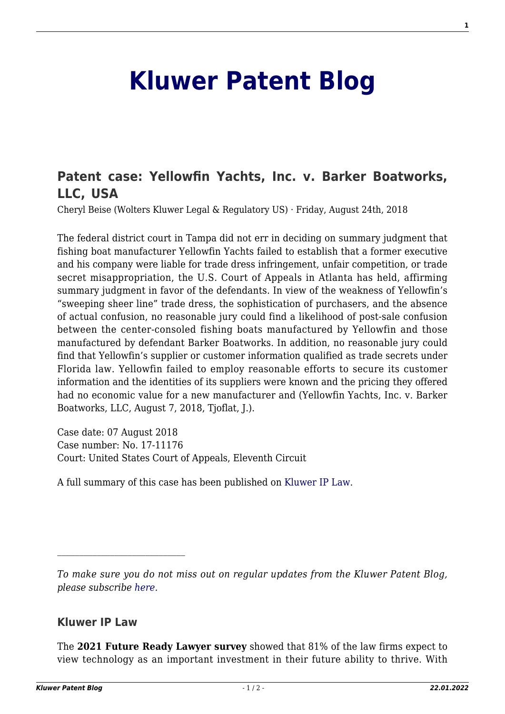## **[Kluwer Patent Blog](http://patentblog.kluweriplaw.com/)**

## **[Patent case: Yellowfin Yachts, Inc. v. Barker Boatworks,](http://patentblog.kluweriplaw.com/2018/08/24/usa-yellowfin-yachts-inc-v-barker-boatworks-llc-united-states-court-appeals-eleventh-circuit-no-17-11176-07-august-2018/) [LLC, USA](http://patentblog.kluweriplaw.com/2018/08/24/usa-yellowfin-yachts-inc-v-barker-boatworks-llc-united-states-court-appeals-eleventh-circuit-no-17-11176-07-august-2018/)**

Cheryl Beise (Wolters Kluwer Legal & Regulatory US) · Friday, August 24th, 2018

The federal district court in Tampa did not err in deciding on summary judgment that fishing boat manufacturer Yellowfin Yachts failed to establish that a former executive and his company were liable for trade dress infringement, unfair competition, or trade secret misappropriation, the U.S. Court of Appeals in Atlanta has held, affirming summary judgment in favor of the defendants. In view of the weakness of Yellowfin's "sweeping sheer line" trade dress, the sophistication of purchasers, and the absence of actual confusion, no reasonable jury could find a likelihood of post-sale confusion between the center-consoled fishing boats manufactured by Yellowfin and those manufactured by defendant Barker Boatworks. In addition, no reasonable jury could find that Yellowfin's supplier or customer information qualified as trade secrets under Florida law. Yellowfin failed to employ reasonable efforts to secure its customer information and the identities of its suppliers were known and the pricing they offered had no economic value for a new manufacturer and (Yellowfin Yachts, Inc. v. Barker Boatworks, LLC, August 7, 2018, Tjoflat, J.).

Case date: 07 August 2018 Case number: No. 17-11176 Court: United States Court of Appeals, Eleventh Circuit

A full summary of this case has been published on [Kluwer IP Law.](http://www.kluweriplaw.com/document/KLI-KPL-ONS-18-33-001)

## **Kluwer IP Law**

The **2021 Future Ready Lawyer survey** showed that 81% of the law firms expect to view technology as an important investment in their future ability to thrive. With

*To make sure you do not miss out on regular updates from the Kluwer Patent Blog, please subscribe [here.](http://patentblog.kluweriplaw.com/newsletter)*